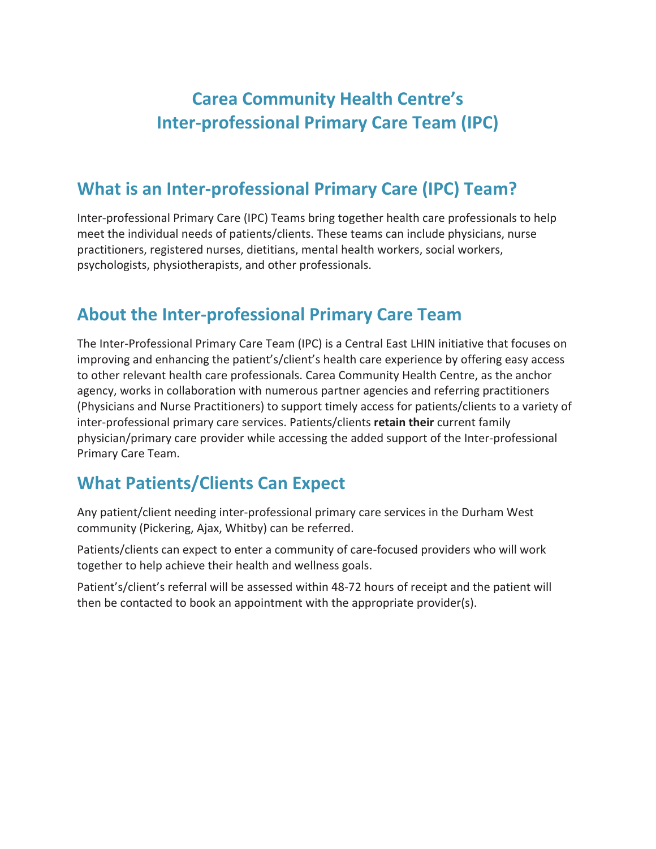# **Carea Community Health Centre's Inter-professional Primary Care Team (IPC)**

## **What is an Inter-professional Primary Care (IPC) Team?**

Inter-professional Primary Care (IPC) Teams bring together health care professionals to help meet the individual needs of patients/clients. These teams can include physicians, nurse practitioners, registered nurses, dietitians, mental health workers, social workers, psychologists, physiotherapists, and other professionals.

### **About the Inter-professional Primary Care Team**

The Inter-Professional Primary Care Team (IPC) is a Central East LHIN initiative that focuses on improving and enhancing the patient's/client's health care experience by offering easy access to other relevant health care professionals. Carea Community Health Centre, as the anchor agency, works in collaboration with numerous partner agencies and referring practitioners (Physicians and Nurse Practitioners) to support timely access for patients/clients to a variety of inter-professional primary care services. Patients/clients **retain their** current family physician/primary care provider while accessing the added support of the Inter-professional Primary Care Team.

### **What Patients/Clients Can Expect**

Any patient/client needing inter-professional primary care services in the Durham West community (Pickering, Ajax, Whitby) can be referred.

Patients/clients can expect to enter a community of care-focused providers who will work together to help achieve their health and wellness goals.

Patient's/client's referral will be assessed within 48-72 hours of receipt and the patient will then be contacted to book an appointment with the appropriate provider(s).